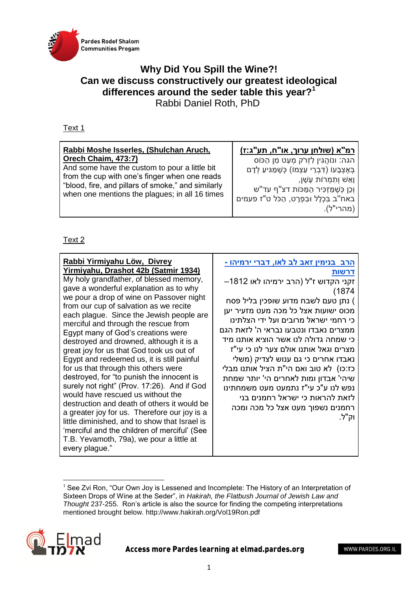

## **Why Did You Spill the Wine?! Can we discuss constructively our greatest ideological differences around the seder table this year?<sup>1</sup>** Rabbi Daniel Roth, PhD

## Text 1

| <u>רמ"א (שולחן ערוך, או"ח, תע"ג:ז)</u><br>הגה: ונוֹהֲגִין לְזְרֹק מְעַט מְן הַכּוֹס<br>בְּאֶצְבָּעוֹ (דְּבְרֵי עַצְמוֹ) כָּשֶׁמַּגִּיעַ לְדָם<br>וְאֵשׁ וְתָמְרוֹת עָשָׁן,<br>וְכֵן כְּשֶׁמַזְכִּיר הַמַּכּוֹת דצ"ף עד"ש<br>באח"ב בִּכְלָל וּבִפְרָט, הַכֹּל ט"ז פעמים<br>(מהרי"ל). |
|-------------------------------------------------------------------------------------------------------------------------------------------------------------------------------------------------------------------------------------------------------------------------------------|
|                                                                                                                                                                                                                                                                                     |
|                                                                                                                                                                                                                                                                                     |

## Text 2

**<sup>.</sup>**  $<sup>1</sup>$  See Zvi Ron, "Our Own Joy is Lessened and Incomplete: The History of an Interpretation of</sup> Sixteen Drops of Wine at the Seder", in *Hakirah, the Flatbush Journal of Jewish Law and Thought* 237-255. Ron's article is also the source for finding the competing interpretations mentioned brought below. http://www.hakirah.org/Vol19Ron.pdf



Access more Pardes learning at elmad.pardes.org